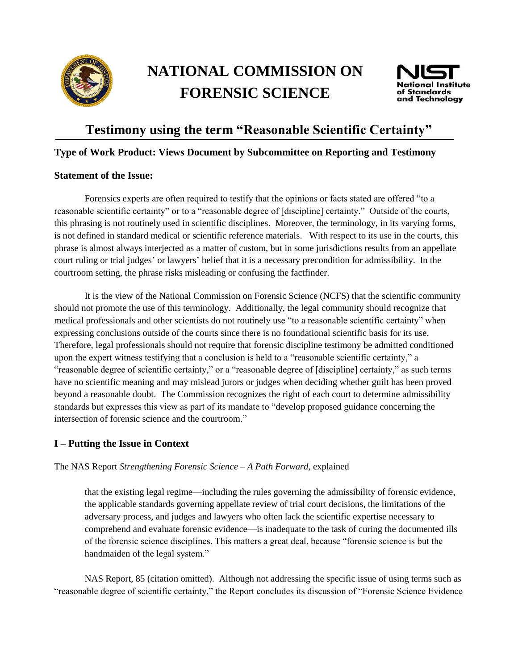

# **NATIONAL COMMISSION ON FORENSIC SCIENCE**



# **Testimony using the term "Reasonable Scientific Certainty"**

#### **Type of Work Product: Views Document by Subcommittee on Reporting and Testimony**

#### **Statement of the Issue:**

Forensics experts are often required to testify that the opinions or facts stated are offered "to a reasonable scientific certainty" or to a "reasonable degree of [discipline] certainty." Outside of the courts, this phrasing is not routinely used in scientific disciplines. Moreover, the terminology, in its varying forms, is not defined in standard medical or scientific reference materials. With respect to its use in the courts, this phrase is almost always interjected as a matter of custom, but in some jurisdictions results from an appellate court ruling or trial judges' or lawyers' belief that it is a necessary precondition for admissibility. In the courtroom setting, the phrase risks misleading or confusing the factfinder.

It is the view of the National Commission on Forensic Science (NCFS) that the scientific community should not promote the use of this terminology. Additionally, the legal community should recognize that medical professionals and other scientists do not routinely use "to a reasonable scientific certainty" when expressing conclusions outside of the courts since there is no foundational scientific basis for its use. Therefore, legal professionals should not require that forensic discipline testimony be admitted conditioned upon the expert witness testifying that a conclusion is held to a "reasonable scientific certainty," a "reasonable degree of scientific certainty," or a "reasonable degree of [discipline] certainty," as such terms have no scientific meaning and may mislead jurors or judges when deciding whether guilt has been proved beyond a reasonable doubt. The Commission recognizes the right of each court to determine admissibility standards but expresses this view as part of its mandate to "develop proposed guidance concerning the intersection of forensic science and the courtroom."

## **I – Putting the Issue in Context**

The NAS Report *Strengthening Forensic Science – A Path Forward,* explained

that the existing legal regime—including the rules governing the admissibility of forensic evidence, the applicable standards governing appellate review of trial court decisions, the limitations of the adversary process, and judges and lawyers who often lack the scientific expertise necessary to comprehend and evaluate forensic evidence—is inadequate to the task of curing the documented ills of the forensic science disciplines. This matters a great deal, because "forensic science is but the handmaiden of the legal system."

NAS Report, 85 (citation omitted). Although not addressing the specific issue of using terms such as "reasonable degree of scientific certainty," the Report concludes its discussion of "Forensic Science Evidence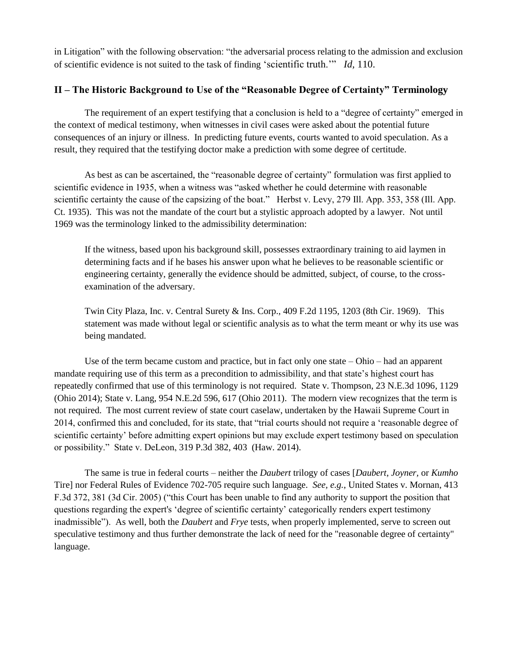in Litigation" with the following observation: "the adversarial process relating to the admission and exclusion of scientific evidence is not suited to the task of finding 'scientific truth.'" *Id,* 110.

### **II – The Historic Background to Use of the "Reasonable Degree of Certainty" Terminology**

The requirement of an expert testifying that a conclusion is held to a "degree of certainty" emerged in the context of medical testimony, when witnesses in civil cases were asked about the potential future consequences of an injury or illness. In predicting future events, courts wanted to avoid speculation. As a result, they required that the testifying doctor make a prediction with some degree of certitude.

As best as can be ascertained, the "reasonable degree of certainty" formulation was first applied to scientific evidence in 1935, when a witness was "asked whether he could determine with reasonable scientific certainty the cause of the capsizing of the boat." Herbst v. Levy, 279 Ill. App. 353, 358 (Ill. App. Ct. 1935). This was not the mandate of the court but a stylistic approach adopted by a lawyer. Not until 1969 was the terminology linked to the admissibility determination:

If the witness, based upon his background skill, possesses extraordinary training to aid laymen in determining facts and if he bases his answer upon what he believes to be reasonable scientific or engineering certainty, generally the evidence should be admitted, subject, of course, to the crossexamination of the adversary.

Twin City Plaza, Inc. v. Central Surety & Ins. Corp., 409 F.2d 1195, 1203 (8th Cir. 1969). This statement was made without legal or scientific analysis as to what the term meant or why its use was being mandated.

Use of the term became custom and practice, but in fact only one state – Ohio – had an apparent mandate requiring use of this term as a precondition to admissibility, and that state's highest court has repeatedly confirmed that use of this terminology is not required. State v. Thompson, 23 N.E.3d 1096, 1129 (Ohio 2014); State v. Lang, 954 N.E.2d 596, 617 (Ohio 2011). The modern view recognizes that the term is not required. The most current review of state court caselaw, undertaken by the Hawaii Supreme Court in 2014, confirmed this and concluded, for its state, that "trial courts should not require a 'reasonable degree of scientific certainty' before admitting expert opinions but may exclude expert testimony based on speculation or possibility." State v. DeLeon, 319 P.3d 382, 403 (Haw. 2014).

The same is true in federal courts – neither the *Daubert* trilogy of cases [*Daubert*, *Joyner,* or *Kumho*  Tire] nor Federal Rules of Evidence 702-705 require such language. *See, e.g.*, United States v. Mornan, 413 F.3d 372, 381 (3d Cir. 2005) ("this Court has been unable to find any authority to support the position that questions regarding the expert's 'degree of scientific certainty' categorically renders expert testimony inadmissible"). As well, both the *Daubert* and *Frye* tests, when properly implemented, serve to screen out speculative testimony and thus further demonstrate the lack of need for the "reasonable degree of certainty" language.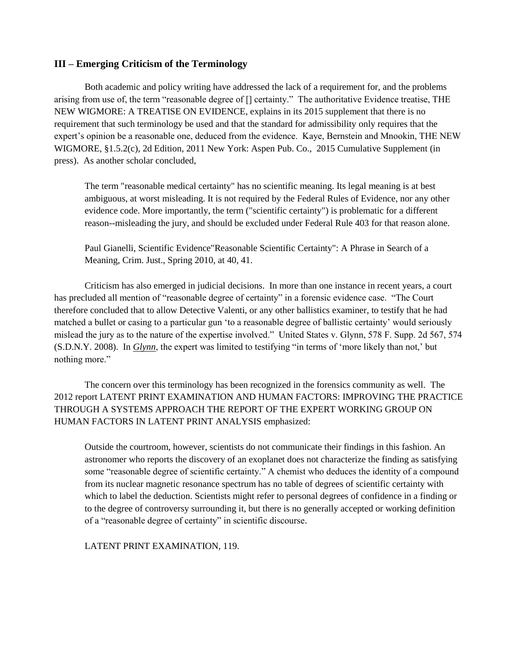#### **III – Emerging Criticism of the Terminology**

Both academic and policy writing have addressed the lack of a requirement for, and the problems arising from use of, the term "reasonable degree of [] certainty." The authoritative Evidence treatise, THE NEW WIGMORE: A TREATISE ON EVIDENCE, explains in its 2015 supplement that there is no requirement that such terminology be used and that the standard for admissibility only requires that the expert's opinion be a reasonable one, deduced from the evidence. Kaye, Bernstein and Mnookin, THE NEW WIGMORE, §1.5.2(c), 2d Edition, 2011 New York: Aspen Pub. Co., 2015 Cumulative Supplement (in press). As another scholar concluded,

The term "reasonable medical certainty" has no scientific meaning. Its legal meaning is at best ambiguous, at worst misleading. It is not required by the Federal Rules of Evidence, nor any other evidence code. More importantly, the term ("scientific certainty") is problematic for a different reason--misleading the jury, and should be excluded under Federal Rule 403 for that reason alone.

Paul Gianelli, Scientific Evidence"Reasonable Scientific Certainty": A Phrase in Search of a Meaning, Crim. Just., Spring 2010, at 40, 41.

Criticism has also emerged in judicial decisions. In more than one instance in recent years, a court has precluded all mention of "reasonable degree of certainty" in a forensic evidence case. "The Court therefore concluded that to allow Detective Valenti, or any other ballistics examiner, to testify that he had matched a bullet or casing to a particular gun 'to a reasonable degree of ballistic certainty' would seriously mislead the jury as to the nature of the expertise involved." United States v. Glynn, 578 F. Supp. 2d 567, 574 (S.D.N.Y. 2008). In *Glynn*, the expert was limited to testifying "in terms of 'more likely than not,' but nothing more."

The concern over this terminology has been recognized in the forensics community as well. The 2012 report LATENT PRINT EXAMINATION AND HUMAN FACTORS: IMPROVING THE PRACTICE THROUGH A SYSTEMS APPROACH THE REPORT OF THE EXPERT WORKING GROUP ON HUMAN FACTORS IN LATENT PRINT ANALYSIS emphasized:

Outside the courtroom, however, scientists do not communicate their findings in this fashion. An astronomer who reports the discovery of an exoplanet does not characterize the finding as satisfying some "reasonable degree of scientific certainty." A chemist who deduces the identity of a compound from its nuclear magnetic resonance spectrum has no table of degrees of scientific certainty with which to label the deduction. Scientists might refer to personal degrees of confidence in a finding or to the degree of controversy surrounding it, but there is no generally accepted or working definition of a "reasonable degree of certainty" in scientific discourse.

LATENT PRINT EXAMINATION, 119.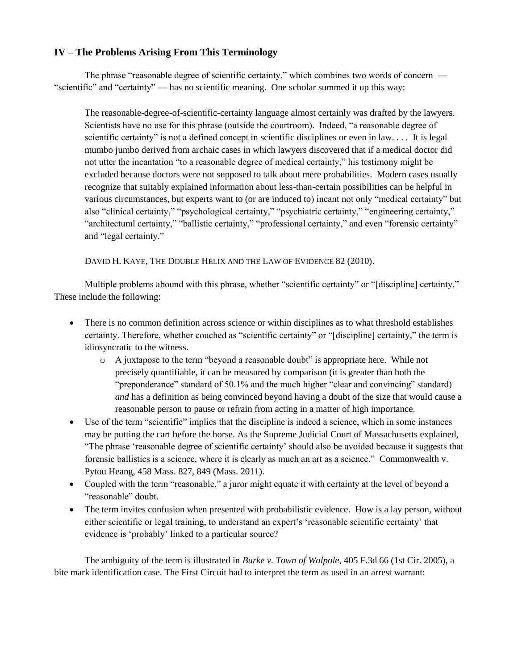### **IV – The Problems Arising From This Terminology**

The phrase "reasonable degree of scientific certainty," which combines two words of concern — "scientific" and "certainty" — has no scientific meaning. One scholar summed it up this way:

The reasonable-degree-of-scientific-certainty language almost certainly was drafted by the lawyers. Scientists have no use for this phrase (outside the courtroom). Indeed, "a reasonable degree of scientific certainty" is not a defined concept in scientific disciplines or even in law.... It is legal mumbo jumbo derived from archaic cases in which lawyers discovered that if a medical doctor did not utter the incantation "to a reasonable degree of medical certainty," his testimony might be excluded because doctors were not supposed to talk about mere probabilities. Modern cases usually recognize that suitably explained information about less-than-certain possibilities can be helpful in various circumstances, but experts want to (or are induced to) incant not only "medical certainty" but also "clinical certainty," "psychological certainty," "psychiatric certainty," "engineering certainty," "architectural certainty," "ballistic certainty," "professional certainty," and even "forensic certainty" and "legal certainty."

DAVID H. KAYE, THE DOUBLE HELIX AND THE LAW OF EVIDENCE 82 (2010).

Multiple problems abound with this phrase, whether "scientific certainty" or "[discipline] certainty." These include the following:

- There is no common definition across science or within disciplines as to what threshold establishes certainty. Therefore, whether couched as "scientific certainty" or "[discipline] certainty," the term is idiosyncratic to the witness.
	- o A juxtapose to the term "beyond a reasonable doubt" is appropriate here. While not precisely quantifiable, it can be measured by comparison (it is greater than both the "preponderance" standard of 50.1% and the much higher "clear and convincing" standard) *and* has a definition as being convinced beyond having a doubt of the size that would cause a reasonable person to pause or refrain from acting in a matter of high importance.
- Use of the term "scientific" implies that the discipline is indeed a science, which in some instances may be putting the cart before the horse. As the Supreme Judicial Court of Massachusetts explained, "The phrase 'reasonable degree of scientific certainty' should also be avoided because it suggests that forensic ballistics is a science, where it is clearly as much an art as a science." Commonwealth v. Pytou Heang, 458 Mass. 827, 849 (Mass. 2011).
- Coupled with the term "reasonable," a juror might equate it with certainty at the level of beyond a "reasonable" doubt.
- The term invites confusion when presented with probabilistic evidence. How is a lay person, without either scientific or legal training, to understand an expert's 'reasonable scientific certainty' that evidence is 'probably' linked to a particular source?

The ambiguity of the term is illustrated in *Burke v. Town of Walpole*, 405 F.3d 66 (1st Cir. 2005), a bite mark identification case. The First Circuit had to interpret the term as used in an arrest warrant: